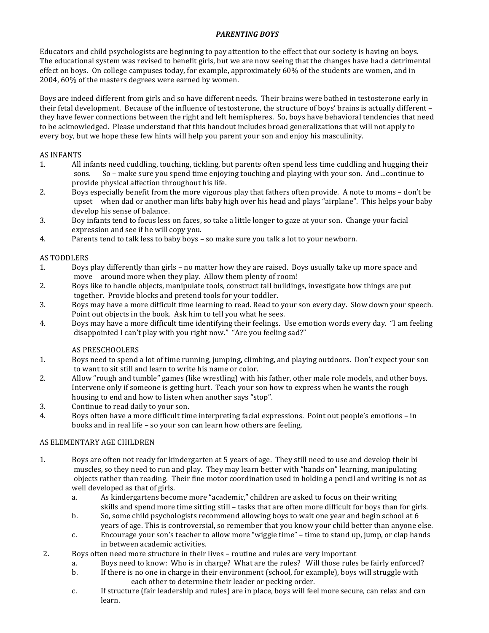# **PARENTING BOYS**

Educators and child psychologists are beginning to pay attention to the effect that our society is having on boys. The educational system was revised to benefit girls, but we are now seeing that the changes have had a detrimental effect on boys. On college campuses today, for example, approximately 60% of the students are women, and in 2004, 60% of the masters degrees were earned by women.

Boys are indeed different from girls and so have different needs. Their brains were bathed in testosterone early in their fetal development. Because of the influence of testosterone, the structure of boys' brains is actually different – they have fewer connections between the right and left hemispheres. So, boys have behavioral tendencies that need to be acknowledged. Please understand that this handout includes broad generalizations that will not apply to every boy, but we hope these few hints will help you parent your son and enjoy his masculinity.

## **AS INFANTS**

- 1. All infants need cuddling, touching, tickling, but parents often spend less time cuddling and hugging their sons. So – make sure you spend time enjoying touching and playing with your son. And…continue to provide physical affection throughout his life.
- 2. Boys especially benefit from the more vigorous play that fathers often provide. A note to moms don't be upset when dad or another man lifts baby high over his head and plays "airplane". This helps your baby develop his sense of balance.
- 3. Boy infants tend to focus less on faces, so take a little longer to gaze at your son. Change your facial expression and see if he will copy you.
- 4. Parents tend to talk less to baby boys so make sure you talk a lot to your newborn.

#### **AS TODDLERS**

- 1. Boys play differently than girls no matter how they are raised. Boys usually take up more space and move around more when they play. Allow them plenty of room!
- 2. Boys like to handle objects, manipulate tools, construct tall buildings, investigate how things are put together. Provide blocks and pretend tools for your toddler.
- 3. Boys may have a more difficult time learning to read. Read to your son every day. Slow down your speech. Point out objects in the book. Ask him to tell you what he sees.
- 4. Boys may have a more difficult time identifying their feelings. Use emotion words every day. "I am feeling disappointed I can't play with you right now." "Are you feeling sad?"

## AS PRESCHOOLERS

- 1. Boys need to spend a lot of time running, jumping, climbing, and playing outdoors. Don't expect your son to want to sit still and learn to write his name or color.
- 2. Allow "rough and tumble" games (like wrestling) with his father, other male role models, and other boys. Intervene only if someone is getting hurt. Teach your son how to express when he wants the rough housing to end and how to listen when another says "stop".
- 3. Continue to read daily to your son.
- 4. Boys often have a more difficult time interpreting facial expressions. Point out people's emotions in books and in real life - so your son can learn how others are feeling.

## AS ELEMENTARY AGE CHILDREN

- 1. Boys are often not ready for kindergarten at 5 years of age. They still need to use and develop their bi muscles, so they need to run and play. They may learn better with "hands on" learning, manipulating objects rather than reading. Their fine motor coordination used in holding a pencil and writing is not as well developed as that of girls.
	- a. As kindergartens become more "academic," children are asked to focus on their writing skills and spend more time sitting still – tasks that are often more difficult for boys than for girls.
	- b. So, some child psychologists recommend allowing boys to wait one year and begin school at 6 years of age. This is controversial, so remember that you know your child better than anyone else.
	- c. Encourage your son's teacher to allow more "wiggle time" time to stand up, jump, or clap hands in between academic activities.
- 2. Boys often need more structure in their lives routine and rules are very important
	- a. Boys need to know: Who is in charge? What are the rules? Will those rules be fairly enforced?
	- b. If there is no one in charge in their environment (school, for example), boys will struggle with each other to determine their leader or pecking order.
	- c. If structure (fair leadership and rules) are in place, boys will feel more secure, can relax and can learn.